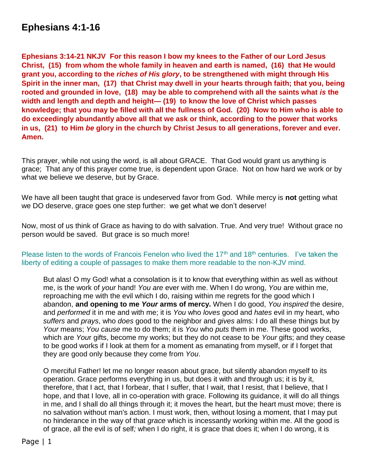# **Ephesians 4:1-16**

**Ephesians 3:14-21 NKJV For this reason I bow my knees to the Father of our Lord Jesus Christ, (15) from whom the whole family in heaven and earth is named, (16) that He would grant you, according to the** *riches of His glory***, to be strengthened with might through His Spirit in the inner man, (17) that Christ may dwell in your hearts through faith; that you, being rooted and grounded in love, (18) may be able to comprehend with all the saints what** *is* **the width and length and depth and height— (19) to know the love of Christ which passes knowledge; that you may be filled with all the fullness of God. (20) Now to Him who is able to do exceedingly abundantly above all that we ask or think, according to the power that works in us, (21) to Him** *be* **glory in the church by Christ Jesus to all generations, forever and ever. Amen.**

This prayer, while not using the word, is all about GRACE. That God would grant us anything is grace; That any of this prayer come true, is dependent upon Grace. Not on how hard we work or by what we believe we deserve, but by Grace.

We have all been taught that grace is undeserved favor from God. While mercy is **not** getting what we DO deserve, grace goes one step further: we get what we don't deserve!

Now, most of us think of Grace as having to do with salvation. True. And very true! Without grace no person would be saved. But grace is so much more!

#### Please listen to the words of Francois Fenelon who lived the  $17<sup>th</sup>$  and  $18<sup>th</sup>$  centuries. I've taken the liberty of editing a couple of passages to make them more readable to the non-KJV mind.

But alas! O my God! what a consolation is it to know that everything within as well as without me, is the work of *your* hand! *You are* ever with me. When I do wrong, *You* are within me, reproaching me with the evil which I do, raising within me regrets for the good which I abandon, **and opening to me** *Your* **arms of mercy.** When I do good, *You inspired* the desire, and *performed* it in me and with me; it is *You* who *loves* good and *hates* evil in my heart, who *suffers* and *prays*, who *does* good to the neighbor and *gives* alms: I do all these things but by *Your* means; *You cause* me to do them; it is *You* who *puts* them in me. These good works, which are *You*r gifts, become my works; but they do not cease to be *Your* gifts; and they cease to be good works if I look at them for a moment as emanating from myself, or if I forget that they are good only because they come from *You*.

O merciful Father! let me no longer reason about grace, but silently abandon myself to its operation. Grace performs everything in us, but does it with and through us; it is by it, therefore, that I act, that I forbear, that I suffer, that I wait, that I resist, that I believe, that I hope, and that I love, all in co-operation with grace. Following its guidance, it will do all things in me, and I shall do all things through it; it moves the heart, but the heart must move; there is no salvation without man's action. I must work, then, without losing a moment, that I may put no hinderance in the way of that *grace* which is incessantly working within me. All the good is of grace, all the evil is of self*;* when I do right, it is grace that does it; when I do wrong, it is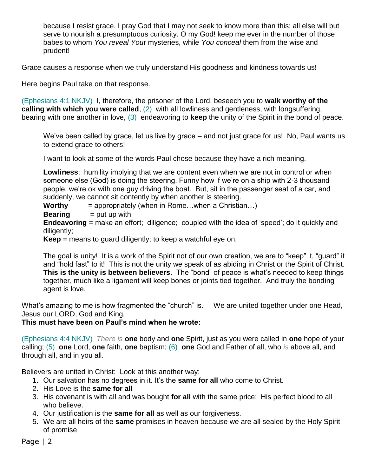because I resist grace. I pray God that I may not seek to know more than this; all else will but serve to nourish a presumptuous curiosity. O my God! keep me ever in the number of those babes to whom *You reveal You*r mysteries, while *You conceal* them from the wise and prudent!

Grace causes a response when we truly understand His goodness and kindness towards us!

Here begins Paul take on that response.

(Ephesians 4:1 NKJV) I, therefore, the prisoner of the Lord, beseech you to **walk worthy of the calling with which you were called**, (2) with all lowliness and gentleness, with longsuffering, bearing with one another in love, (3) endeavoring to **keep** the unity of the Spirit in the bond of peace.

We've been called by grace, let us live by grace – and not just grace for us! No, Paul wants us to extend grace to others!

I want to look at some of the words Paul chose because they have a rich meaning.

**Lowliness**: humility implying that we are content even when we are not in control or when someone else (God) is doing the steering. Funny how if we're on a ship with 2-3 thousand people, we're ok with one guy driving the boat. But, sit in the passenger seat of a car, and suddenly, we cannot sit contently by when another is steering.

**Worthy** = appropriately (when in Rome…when a Christian…)

**Bearing**  $=$  put up with

**Endeavoring** = make an effort; diligence; coupled with the idea of 'speed'; do it quickly and diligently;

**Keep** = means to quard diligently; to keep a watchful eye on.

The goal is unity! It is a work of the Spirit not of our own creation, we are to "keep" it, "guard" it and "hold fast" to it! This is not the unity we speak of as abiding in Christ or the Spirit of Christ. **This is the unity is between believers**. The "bond" of peace is what's needed to keep things together, much like a ligament will keep bones or joints tied together. And truly the bonding agent is love.

What's amazing to me is how fragmented the "church" is. We are united together under one Head, Jesus our LORD, God and King.

#### **This must have been on Paul's mind when he wrote:**

(Ephesians 4:4 NKJV) *There is* **one** body and **one** Spirit, just as you were called in **one** hope of your calling; (5) **one** Lord, **one** faith, **one** baptism; (6) **one** God and Father of all, who *is* above all, and through all, and in you all.

Believers are united in Christ: Look at this another way:

- 1. Our salvation has no degrees in it. It's the **same for all** who come to Christ.
- 2. His Love is the **same for all**
- 3. His covenant is with all and was bought **for all** with the same price: His perfect blood to all who believe.
- 4. Our justification is the **same for all** as well as our forgiveness.
- 5. We are all heirs of the **same** promises in heaven because we are all sealed by the Holy Spirit of promise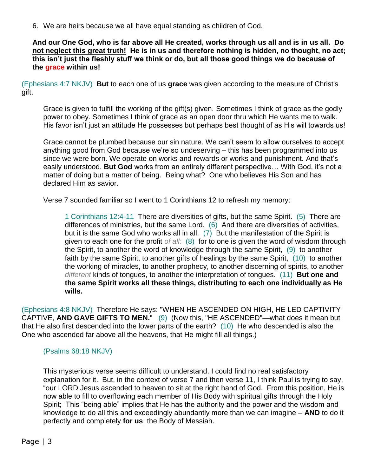6. We are heirs because we all have equal standing as children of God.

**And our One God, who is far above all He created, works through us all and is in us all. Do not neglect this great truth! He is in us and therefore nothing is hidden, no thought, no act; this isn't just the fleshly stuff we think or do, but all those good things we do because of the grace within us!** 

(Ephesians 4:7 NKJV) **But** to each one of us **grace** was given according to the measure of Christ's gift.

Grace is given to fulfill the working of the gift(s) given. Sometimes I think of grace as the godly power to obey. Sometimes I think of grace as an open door thru which He wants me to walk. His favor isn't just an attitude He possesses but perhaps best thought of as His will towards us!

Grace cannot be plumbed because our sin nature. We can't seem to allow ourselves to accept anything good from God because we're so undeserving – this has been programmed into us since we were born. We operate on works and rewards or works and punishment. And that's easily understood. **But God** works from an entirely different perspective… With God, it's not a matter of doing but a matter of being. Being what? One who believes His Son and has declared Him as savior.

Verse 7 sounded familiar so I went to 1 Corinthians 12 to refresh my memory:

1 Corinthians 12:4-11 There are diversities of gifts, but the same Spirit. (5) There are differences of ministries, but the same Lord. (6) And there are diversities of activities, but it is the same God who works all in all. (7) But the manifestation of the Spirit is given to each one for the profit *of all:* (8) for to one is given the word of wisdom through the Spirit, to another the word of knowledge through the same Spirit, (9) to another faith by the same Spirit, to another gifts of healings by the same Spirit, (10) to another the working of miracles, to another prophecy, to another discerning of spirits, to another *different* kinds of tongues, to another the interpretation of tongues. (11) **But one and the same Spirit works all these things, distributing to each one individually as He wills.**

(Ephesians 4:8 NKJV) Therefore He says: "WHEN HE ASCENDED ON HIGH, HE LED CAPTIVITY CAPTIVE, **AND GAVE GIFTS TO MEN.**" (9) (Now this, "HE ASCENDED"—what does it mean but that He also first descended into the lower parts of the earth? (10) He who descended is also the One who ascended far above all the heavens, that He might fill all things.)

# (Psalms 68:18 NKJV)

This mysterious verse seems difficult to understand. I could find no real satisfactory explanation for it. But, in the context of verse 7 and then verse 11, I think Paul is trying to say, "our LORD Jesus ascended to heaven to sit at the right hand of God. From this position, He is now able to fill to overflowing each member of His Body with spiritual gifts through the Holy Spirit; This "being able" implies that He has the authority and the power and the wisdom and knowledge to do all this and exceedingly abundantly more than we can imagine – **AND** to do it perfectly and completely **for us**, the Body of Messiah.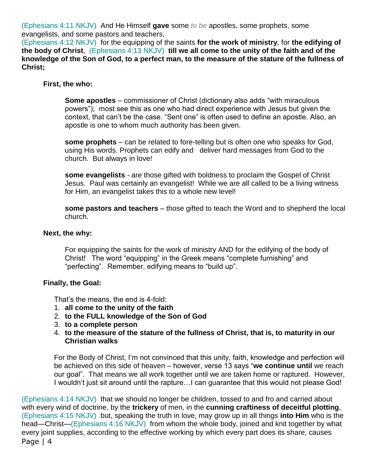(Ephesians 4:11 NKJV) And He Himself **gave** some *to be* apostles, some prophets, some evangelists, and some pastors and teachers,

(Ephesians 4:12 NKJV) for the equipping of the saints **for the work of ministry**, for **the edifying of the body of Christ**, (Ephesians 4:13 NKJV) **till we all come to the unity of the faith and of the knowledge of the Son of God, to a perfect man, to the measure of the stature of the fullness of Christ;**

### **First, the who:**

**Some apostles** – commissioner of Christ (dictionary also adds "with miraculous powers"); most see this as one who had direct experience with Jesus but given the context, that can't be the case. "Sent one" is often used to define an apostle. Also, an apostle is one to whom much authority has been given.

**some prophets** – can be related to fore-telling but is often one who speaks for God, using His words. Prophets can edify and deliver hard messages from God to the church. But always in love!

**some evangelists** - are those gifted with boldness to proclaim the Gospel of Christ Jesus. Paul was certainly an evangelist! While we are all called to be a living witness for Him, an evangelist takes this to a whole new level!

**some pastors and teachers** – those gifted to teach the Word and to shepherd the local church.

#### **Next, the why:**

For equipping the saints for the work of ministry AND for the edifying of the body of Christ! The word "equipping" in the Greek means "complete furnishing" and "perfecting". Remember, edifying means to "build up".

#### **Finally, the Goal:**

That's the means, the end is 4-fold:

- 1. **all come to the unity of the faith**
- 2. **to the FULL knowledge of the Son of God**
- 3. **to a complete person**
- 4. **to the measure of the stature of the fullness of Christ, that is, to maturity in our Christian walks**

For the Body of Christ, I'm not convinced that this unity, faith, knowledge and perfection will be achieved on this side of heaven – however, verse 13 says "**we continue until** we reach our goal". That means we all work together until we are taken home or raptured. However, I wouldn't just sit around until the rapture…I can guarantee that this would not please God!

Page 14 (Ephesians 4:14 NKJV) that we should no longer be children, tossed to and fro and carried about with every wind of doctrine, by the **trickery** of men, in the **cunning craftiness of deceitful plotting**, (Ephesians 4:15 NKJV) but, speaking the truth in love, may grow up in all things **into Him** who is the head—Christ—(Ephesians 4:16 NKJV) from whom the whole body, joined and knit together by what every joint supplies, according to the effective working by which every part does its share, causes